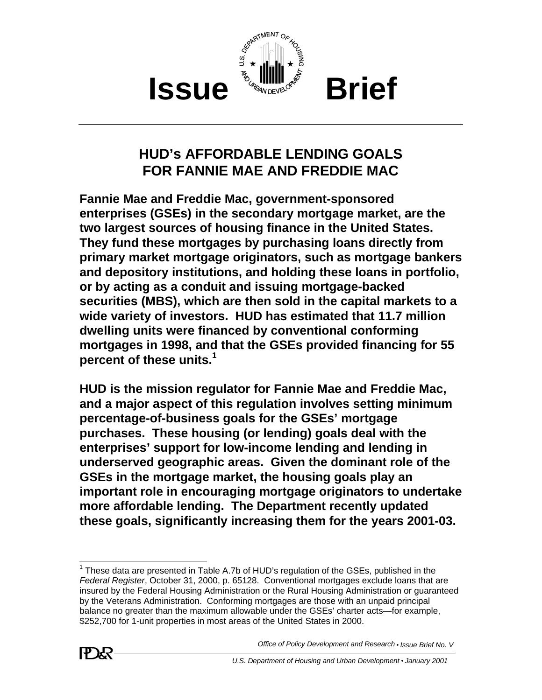

## **HUD's AFFORDABLE LENDING GOALS FOR FANNIE MAE AND FREDDIE MAC**

**Fannie Mae and Freddie Mac, government-sponsored enterprises (GSEs) in the secondary mortgage market, are the two largest sources of housing finance in the United States. They fund these mortgages by purchasing loans directly from primary market mortgage originators, such as mortgage bankers and depository institutions, and holding these loans in portfolio, or by acting as a conduit and issuing mortgage-backed securities (MBS), which are then sold in the capital markets to a wide variety of investors. HUD has estimated that 11.7 million dwelling units were financed by conventional conforming mortgages in 1998, and that the GSEs provided financing for 55 percent of these units.<sup>1</sup>**

**HUD is the mission regulator for Fannie Mae and Freddie Mac, and a major aspect of this regulation involves setting minimum percentage-of-business goals for the GSEs' mortgage purchases. These housing (or lending) goals deal with the enterprises' support for low-income lending and lending in underserved geographic areas. Given the dominant role of the GSEs in the mortgage market, the housing goals play an important role in encouraging mortgage originators to undertake more affordable lending. The Department recently updated these goals, significantly increasing them for the years 2001-03.** 

 $1$  These data are presented in Table A.7b of HUD's regulation of the GSEs, published in the *Federal Register*, October 31, 2000, p. 65128. Conventional mortgages exclude loans that are insured by the Federal Housing Administration or the Rural Housing Administration or guaranteed by the Veterans Administration. Conforming mortgages are those with an unpaid principal balance no greater than the maximum allowable under the GSEs' charter acts—for example, \$252,700 for 1-unit properties in most areas of the United States in 2000.

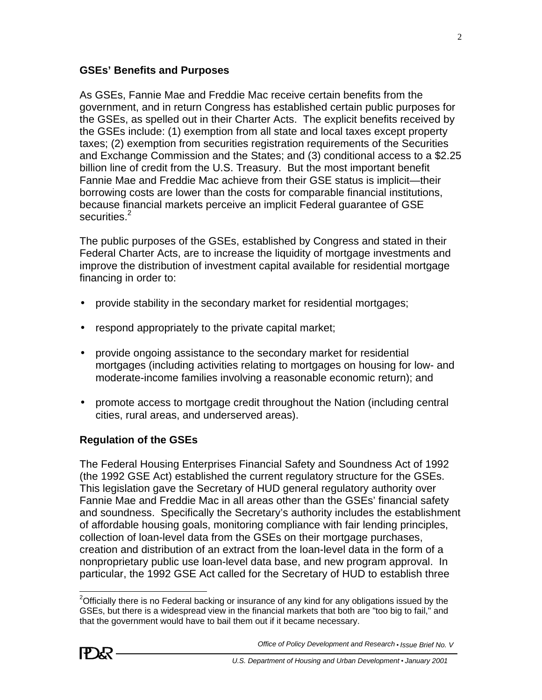#### **GSEs' Benefits and Purposes**

As GSEs, Fannie Mae and Freddie Mac receive certain benefits from the government, and in return Congress has established certain public purposes for the GSEs, as spelled out in their Charter Acts. The explicit benefits received by the GSEs include: (1) exemption from all state and local taxes except property taxes; (2) exemption from securities registration requirements of the Securities and Exchange Commission and the States; and (3) conditional access to a \$2.25 billion line of credit from the U.S. Treasury. But the most important benefit Fannie Mae and Freddie Mac achieve from their GSE status is implicit—their borrowing costs are lower than the costs for comparable financial institutions, because financial markets perceive an implicit Federal guarantee of GSE securities.<sup>2</sup>

The public purposes of the GSEs, established by Congress and stated in their Federal Charter Acts, are to increase the liquidity of mortgage investments and improve the distribution of investment capital available for residential mortgage financing in order to:

- provide stability in the secondary market for residential mortgages;
- respond appropriately to the private capital market;
- provide ongoing assistance to the secondary market for residential mortgages (including activities relating to mortgages on housing for low- and moderate-income families involving a reasonable economic return); and
- promote access to mortgage credit throughout the Nation (including central cities, rural areas, and underserved areas).

## **Regulation of the GSEs**

The Federal Housing Enterprises Financial Safety and Soundness Act of 1992 (the 1992 GSE Act) established the current regulatory structure for the GSEs. This legislation gave the Secretary of HUD general regulatory authority over Fannie Mae and Freddie Mac in all areas other than the GSEs' financial safety and soundness. Specifically the Secretary's authority includes the establishment of affordable housing goals, monitoring compliance with fair lending principles, collection of loan-level data from the GSEs on their mortgage purchases, creation and distribution of an extract from the loan-level data in the form of a nonproprietary public use loan-level data base, and new program approval. In particular, the 1992 GSE Act called for the Secretary of HUD to establish three

<sup>&</sup>lt;sup>2</sup>Officially there is no Federal backing or insurance of any kind for any obligations issued by the GSEs, but there is a widespread view in the financial markets that both are "too big to fail," and that the government would have to bail them out if it became necessary.



*Office of Policy Development and Research* • *Issue Brief No. V*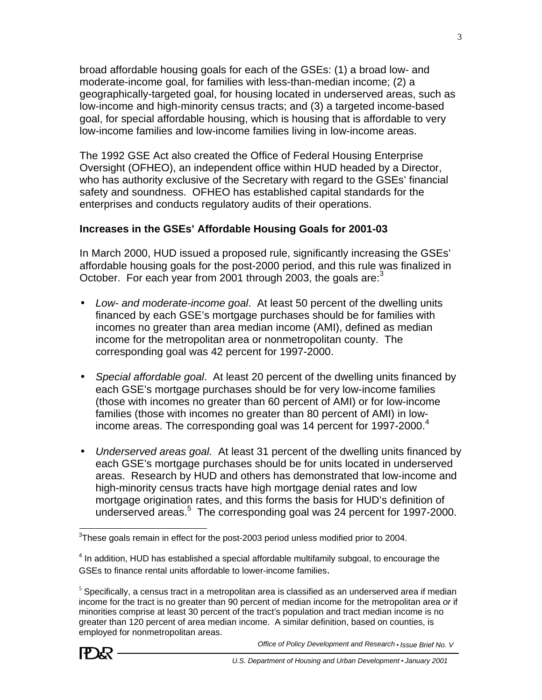broad affordable housing goals for each of the GSEs: (1) a broad low- and moderate-income goal, for families with less-than-median income; (2) a geographically-targeted goal, for housing located in underserved areas, such as low-income and high-minority census tracts; and (3) a targeted income-based goal, for special affordable housing, which is housing that is affordable to very low-income families and low-income families living in low-income areas.

The 1992 GSE Act also created the Office of Federal Housing Enterprise Oversight (OFHEO), an independent office within HUD headed by a Director, who has authority exclusive of the Secretary with regard to the GSEs' financial safety and soundness. OFHEO has established capital standards for the enterprises and conducts regulatory audits of their operations.

## **Increases in the GSEs' Affordable Housing Goals for 2001-03**

In March 2000, HUD issued a proposed rule, significantly increasing the GSEs' affordable housing goals for the post-2000 period, and this rule was finalized in October. For each year from 2001 through 2003, the goals are: $3<sup>3</sup>$ 

- *Low- and moderate-income goal*. At least 50 percent of the dwelling units financed by each GSE's mortgage purchases should be for families with incomes no greater than area median income (AMI), defined as median income for the metropolitan area or nonmetropolitan county. The corresponding goal was 42 percent for 1997-2000.
- *Special affordable goal*. At least 20 percent of the dwelling units financed by each GSE's mortgage purchases should be for very low-income families (those with incomes no greater than 60 percent of AMI) or for low-income families (those with incomes no greater than 80 percent of AMI) in lowincome areas. The corresponding goal was 14 percent for 1997-2000. $4$
- *Underserved areas goal.* At least 31 percent of the dwelling units financed by each GSE's mortgage purchases should be for units located in underserved areas. Research by HUD and others has demonstrated that low-income and high-minority census tracts have high mortgage denial rates and low mortgage origination rates, and this forms the basis for HUD's definition of underserved areas.<sup>5</sup> The corresponding goal was 24 percent for 1997-2000.

 $5$  Specifically, a census tract in a metropolitan area is classified as an underserved area if median income for the tract is no greater than 90 percent of median income for the metropolitan area *or* if minorities comprise at least 30 percent of the tract's population and tract median income is no greater than 120 percent of area median income. A similar definition, based on counties, is employed for nonmetropolitan areas.



 $3$ These goals remain in effect for the post-2003 period unless modified prior to 2004.

 $<sup>4</sup>$  In addition, HUD has established a special affordable multifamily subgoal, to encourage the</sup> GSEs to finance rental units affordable to lower-income families.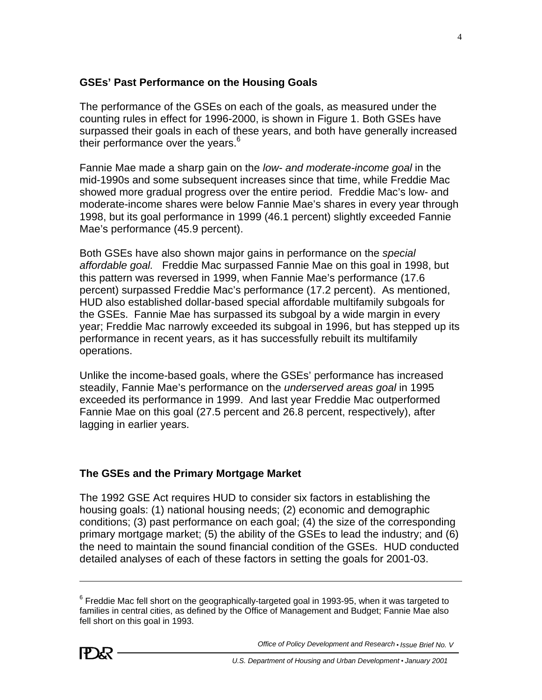#### **GSEs' Past Performance on the Housing Goals**

The performance of the GSEs on each of the goals, as measured under the counting rules in effect for 1996-2000, is shown in Figure 1. Both GSEs have surpassed their goals in each of these years, and both have generally increased their performance over the years.<sup>6</sup>

Fannie Mae made a sharp gain on the *low- and moderate-income goal* in the mid-1990s and some subsequent increases since that time, while Freddie Mac showed more gradual progress over the entire period. Freddie Mac's low- and moderate-income shares were below Fannie Mae's shares in every year through 1998, but its goal performance in 1999 (46.1 percent) slightly exceeded Fannie Mae's performance (45.9 percent).

Both GSEs have also shown major gains in performance on the *special affordable goal.* Freddie Mac surpassed Fannie Mae on this goal in 1998, but this pattern was reversed in 1999, when Fannie Mae's performance (17.6 percent) surpassed Freddie Mac's performance (17.2 percent). As mentioned, HUD also established dollar-based special affordable multifamily subgoals for the GSEs. Fannie Mae has surpassed its subgoal by a wide margin in every year; Freddie Mac narrowly exceeded its subgoal in 1996, but has stepped up its performance in recent years, as it has successfully rebuilt its multifamily operations.

Unlike the income-based goals, where the GSEs' performance has increased steadily, Fannie Mae's performance on the *underserved areas goal* in 1995 exceeded its performance in 1999. And last year Freddie Mac outperformed Fannie Mae on this goal (27.5 percent and 26.8 percent, respectively), after lagging in earlier years.

## **The GSEs and the Primary Mortgage Market**

The 1992 GSE Act requires HUD to consider six factors in establishing the housing goals: (1) national housing needs; (2) economic and demographic conditions; (3) past performance on each goal; (4) the size of the corresponding primary mortgage market; (5) the ability of the GSEs to lead the industry; and (6) the need to maintain the sound financial condition of the GSEs. HUD conducted detailed analyses of each of these factors in setting the goals for 2001-03.

 $^6$  Freddie Mac fell short on the geographically-targeted goal in 1993-95, when it was targeted to families in central cities, as defined by the Office of Management and Budget; Fannie Mae also fell short on this goal in 1993.

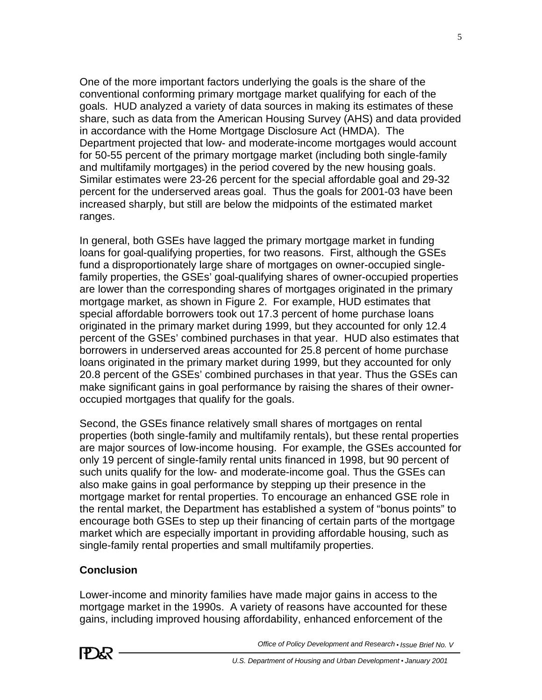One of the more important factors underlying the goals is the share of the conventional conforming primary mortgage market qualifying for each of the goals. HUD analyzed a variety of data sources in making its estimates of these share, such as data from the American Housing Survey (AHS) and data provided in accordance with the Home Mortgage Disclosure Act (HMDA). The Department projected that low- and moderate-income mortgages would account for 50-55 percent of the primary mortgage market (including both single-family and multifamily mortgages) in the period covered by the new housing goals. Similar estimates were 23-26 percent for the special affordable goal and 29-32 percent for the underserved areas goal. Thus the goals for 2001-03 have been increased sharply, but still are below the midpoints of the estimated market ranges.

In general, both GSEs have lagged the primary mortgage market in funding loans for goal-qualifying properties, for two reasons. First, although the GSEs fund a disproportionately large share of mortgages on owner-occupied singlefamily properties, the GSEs' goal-qualifying shares of owner-occupied properties are lower than the corresponding shares of mortgages originated in the primary mortgage market, as shown in Figure 2. For example, HUD estimates that special affordable borrowers took out 17.3 percent of home purchase loans originated in the primary market during 1999, but they accounted for only 12.4 percent of the GSEs' combined purchases in that year. HUD also estimates that borrowers in underserved areas accounted for 25.8 percent of home purchase loans originated in the primary market during 1999, but they accounted for only 20.8 percent of the GSEs' combined purchases in that year. Thus the GSEs can make significant gains in goal performance by raising the shares of their owneroccupied mortgages that qualify for the goals.

Second, the GSEs finance relatively small shares of mortgages on rental properties (both single-family and multifamily rentals), but these rental properties are major sources of low-income housing. For example, the GSEs accounted for only 19 percent of single-family rental units financed in 1998, but 90 percent of such units qualify for the low- and moderate-income goal. Thus the GSEs can also make gains in goal performance by stepping up their presence in the mortgage market for rental properties. To encourage an enhanced GSE role in the rental market, the Department has established a system of "bonus points" to encourage both GSEs to step up their financing of certain parts of the mortgage market which are especially important in providing affordable housing, such as single-family rental properties and small multifamily properties.

## **Conclusion**

Lower-income and minority families have made major gains in access to the mortgage market in the 1990s. A variety of reasons have accounted for these gains, including improved housing affordability, enhanced enforcement of the

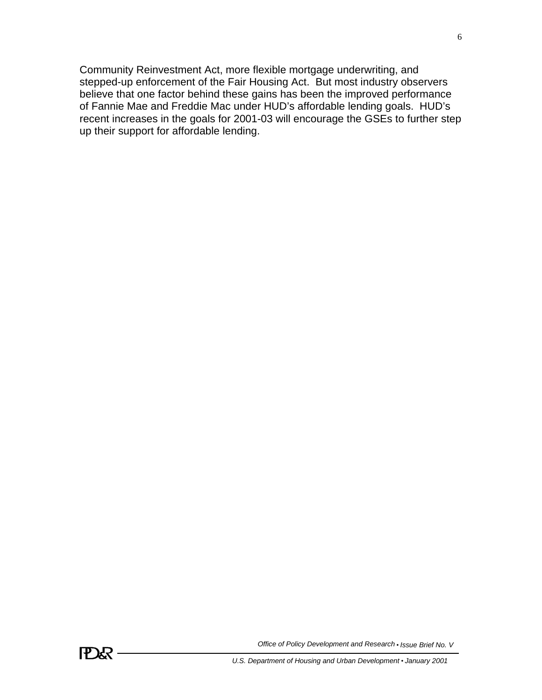Community Reinvestment Act, more flexible mortgage underwriting, and stepped-up enforcement of the Fair Housing Act. But most industry observers believe that one factor behind these gains has been the improved performance of Fannie Mae and Freddie Mac under HUD's affordable lending goals. HUD's recent increases in the goals for 2001-03 will encourage the GSEs to further step up their support for affordable lending.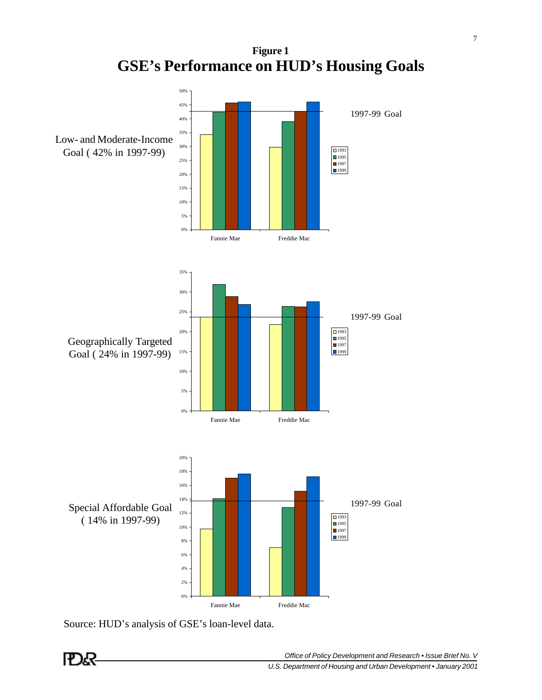**Figure 1 GSE's Performance on HUD's Housing Goals** 



Source: HUD's analysis of GSE's loan-level data.